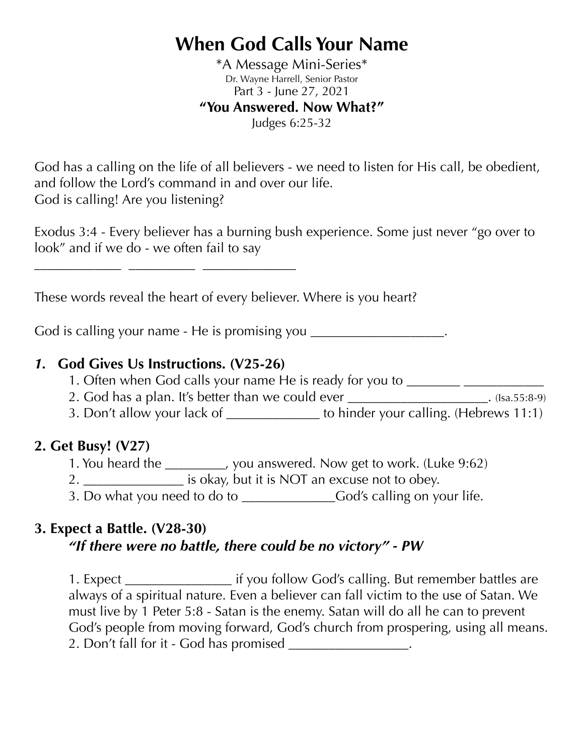# **When God Calls Your Name**

\*A Message Mini-Series\* Dr. Wayne Harrell, Senior Pastor Part 3 - June 27, 2021 **"You Answered. Now What?"**  Judges 6:25-32

God has a calling on the life of all believers - we need to listen for His call, be obedient, and follow the Lord's command in and over our life. God is calling! Are you listening?

Exodus 3:4 - Every believer has a burning bush experience. Some just never "go over to look" and if we do - we often fail to say

These words reveal the heart of every believer. Where is you heart?

God is calling your name - He is promising you \_\_\_\_\_\_\_\_\_\_\_\_\_\_\_\_\_\_\_\_\_.

## *1.* **God Gives Us Instructions. (V25-26)**

**\_\_\_\_\_\_\_\_\_\_\_\_\_ \_\_\_\_\_\_\_\_\_\_ \_\_\_\_\_\_\_\_\_\_\_\_\_\_**

- 1. Often when God calls your name He is ready for you to \_\_\_\_\_\_\_\_\_\_\_\_\_\_\_\_\_\_\_\_\_\_\_
- 2. God has a plan. It's better than we could ever \_\_\_\_\_\_\_\_\_\_\_\_\_\_\_\_\_\_\_\_\_\_\_\_. (Isa.55:8-9)
- 3. Don't allow your lack of \_\_\_\_\_\_\_\_\_\_\_\_\_\_ to hinder your calling. (Hebrews 11:1)

## **2. Get Busy! (V27)**

- 1. You heard the \_\_\_\_\_\_\_\_\_, you answered. Now get to work. (Luke 9:62)
- 2. \_\_\_\_\_\_\_\_\_\_\_\_\_\_\_\_\_\_ is okay, but it is NOT an excuse not to obey.
- 3. Do what you need to do to \_\_\_\_\_\_\_\_\_\_\_\_\_\_\_\_\_\_\_\_\_\_\_God's calling on your life.

## **3. Expect a Battle. (V28-30)**

# *"If there were no battle, there could be no victory" - PW*

1. Expect \_\_\_\_\_\_\_\_\_\_\_\_\_\_\_\_ if you follow God's calling. But remember battles are always of a spiritual nature. Even a believer can fall victim to the use of Satan. We must live by 1 Peter 5:8 - Satan is the enemy. Satan will do all he can to prevent God's people from moving forward, God's church from prospering, using all means. 2. Don't fall for it - God has promised \_\_\_\_\_\_\_\_\_\_\_\_\_\_\_\_\_.